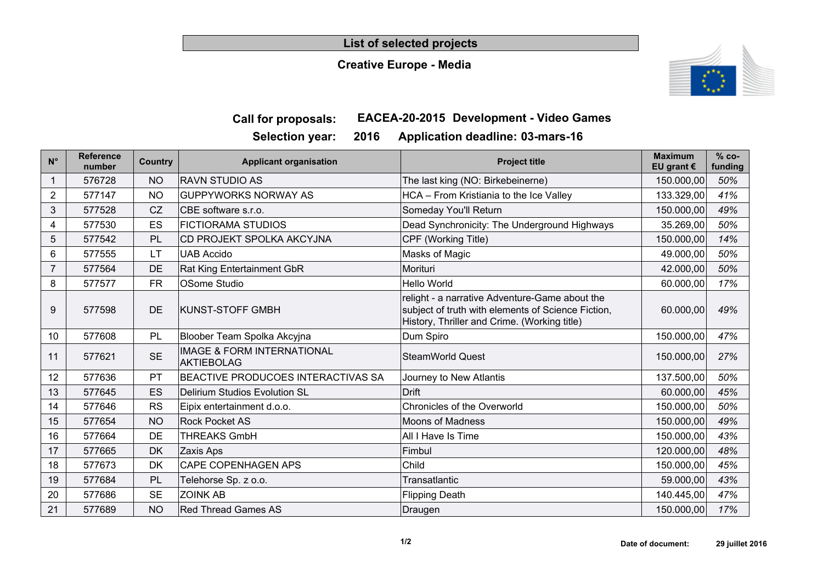#### **List of selected projects**

#### **Creative Europe - Media**



## **Call for proposals: EACEA-20-2015 Development - Video Games**

| <b>SEIECLIUII VEAL.</b> |  |  | A' |
|-------------------------|--|--|----|
|                         |  |  |    |

**Selection year: 2016 Application deadline: 03-mars-16**

| $N^{\circ}$    | <b>Reference</b><br>number | Country   | <b>Applicant organisation</b>                              | <b>Project title</b>                                                                                                                                 | <b>Maximum</b><br>EU grant $\epsilon$ | $% co-$<br>funding |
|----------------|----------------------------|-----------|------------------------------------------------------------|------------------------------------------------------------------------------------------------------------------------------------------------------|---------------------------------------|--------------------|
|                | 576728                     | <b>NO</b> | <b>RAVN STUDIO AS</b>                                      | The last king (NO: Birkebeinerne)                                                                                                                    | 150.000,00                            | 50%                |
| $\overline{2}$ | 577147                     | <b>NO</b> | <b>GUPPYWORKS NORWAY AS</b>                                | HCA - From Kristiania to the Ice Valley                                                                                                              | 133.329,00                            | 41%                |
| 3              | 577528                     | CZ        | CBE software s.r.o.                                        | Someday You'll Return                                                                                                                                | 150.000,00                            | 49%                |
| 4              | 577530                     | ES        | <b>FICTIORAMA STUDIOS</b>                                  | Dead Synchronicity: The Underground Highways                                                                                                         | 35.269,00                             | 50%                |
| 5              | 577542                     | PL        | <b>CD PROJEKT SPOLKA AKCYJNA</b>                           | CPF (Working Title)                                                                                                                                  | 150.000,00                            | 14%                |
| 6              | 577555                     | LT        | <b>UAB Accido</b>                                          | Masks of Magic                                                                                                                                       | 49.000,00                             | 50%                |
|                | 577564                     | DE        | Rat King Entertainment GbR                                 | Morituri                                                                                                                                             | 42.000,00                             | 50%                |
| 8              | 577577                     | <b>FR</b> | <b>OSome Studio</b>                                        | <b>Hello World</b>                                                                                                                                   | 60.000,00                             | 17%                |
| 9              | 577598                     | <b>DE</b> | <b>KUNST-STOFF GMBH</b>                                    | relight - a narrative Adventure-Game about the<br>subject of truth with elements of Science Fiction,<br>History, Thriller and Crime. (Working title) | 60.000,00                             | 49%                |
| 10             | 577608                     | PL        | Bloober Team Spolka Akcyjna                                | Dum Spiro                                                                                                                                            | 150.000,00                            | 47%                |
| 11             | 577621                     | <b>SE</b> | <b>IMAGE &amp; FORM INTERNATIONAL</b><br><b>AKTIEBOLAG</b> | <b>SteamWorld Quest</b>                                                                                                                              | 150.000,00                            | 27%                |
| 12             | 577636                     | PT        | <b>BEACTIVE PRODUCOES INTERACTIVAS SA</b>                  | Journey to New Atlantis                                                                                                                              | 137.500,00                            | 50%                |
| 13             | 577645                     | ES        | Delirium Studios Evolution SL                              | <b>Drift</b>                                                                                                                                         | 60.000,00                             | 45%                |
| 14             | 577646                     | <b>RS</b> | Eipix entertainment d.o.o.                                 | <b>Chronicles of the Overworld</b>                                                                                                                   | 150.000,00                            | 50%                |
| 15             | 577654                     | <b>NO</b> | <b>Rock Pocket AS</b>                                      | <b>Moons of Madness</b>                                                                                                                              | 150.000,00                            | 49%                |
| 16             | 577664                     | DE        | <b>THREAKS GmbH</b>                                        | All I Have Is Time                                                                                                                                   | 150.000,00                            | 43%                |
| 17             | 577665                     | <b>DK</b> | Zaxis Aps                                                  | Fimbul                                                                                                                                               | 120.000,00                            | 48%                |
| 18             | 577673                     | <b>DK</b> | <b>CAPE COPENHAGEN APS</b>                                 | Child                                                                                                                                                | 150.000,00                            | 45%                |
| 19             | 577684                     | PL        | Telehorse Sp. z o.o.                                       | Transatlantic                                                                                                                                        | 59.000,00                             | 43%                |
| 20             | 577686                     | <b>SE</b> | <b>ZOINK AB</b>                                            | <b>Flipping Death</b>                                                                                                                                | 140.445,00                            | 47%                |
| 21             | 577689                     | <b>NO</b> | <b>Red Thread Games AS</b>                                 | Draugen                                                                                                                                              | 150.000,00                            | 17%                |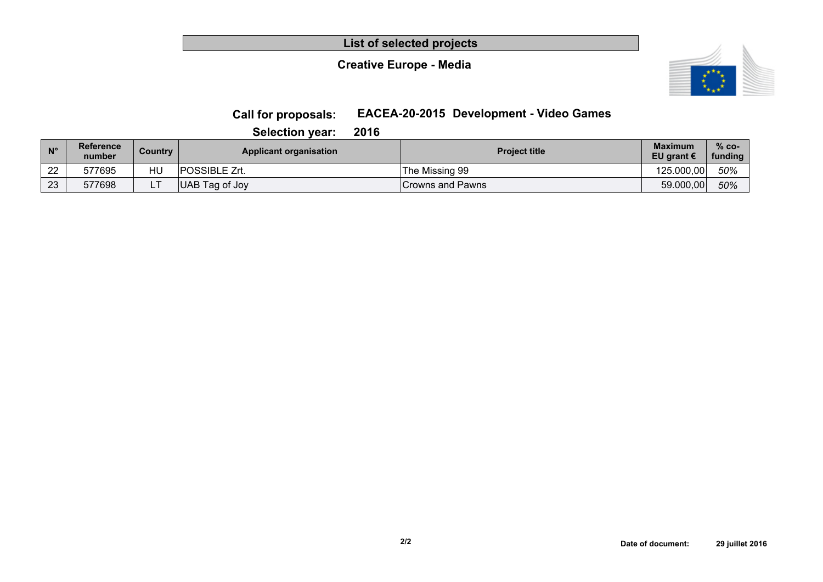**List of selected projects**

#### **Creative Europe - Media**



### **Call for proposals: EACEA-20-2015 Development - Video Games**

**Selection year: 2016**

| $N^{\circ}$ | <b>Reference</b><br>number | Country | <b>Applicant organisation</b> | <b>Project title</b> | <b>Maximum</b><br>EU grant $\epsilon$ | $% co-$<br>funding |
|-------------|----------------------------|---------|-------------------------------|----------------------|---------------------------------------|--------------------|
| ົດດ<br>▵    | 577695                     | HU      | POSSIBLE Zrt.                 | The Missing 99       | 125.000.00                            | 50%                |
| 23          | 577698                     |         | UAB Tag of Joy                | Crowns and Pawns     | 59.000,00                             | 50%                |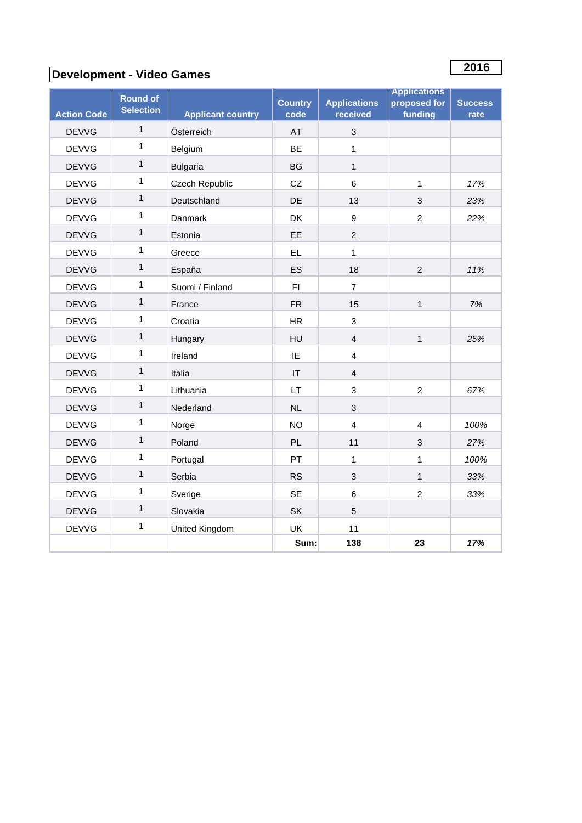# **<sup>2016</sup> Development - Video Games**

|                    | <b>Round of</b>  |                          | <b>Country</b>         | <b>Applications</b> | <b>Applications</b><br>proposed for | <b>Success</b> |
|--------------------|------------------|--------------------------|------------------------|---------------------|-------------------------------------|----------------|
| <b>Action Code</b> | <b>Selection</b> | <b>Applicant country</b> | code                   | received            | funding                             | rate           |
| <b>DEVVG</b>       | $\mathbf{1}$     | Österreich               | <b>AT</b>              | 3                   |                                     |                |
| <b>DEVVG</b>       | $\mathbf{1}$     | Belgium                  | BE                     | $\mathbf{1}$        |                                     |                |
| <b>DEVVG</b>       | $\mathbf{1}$     | <b>Bulgaria</b>          | <b>BG</b>              | $\mathbf{1}$        |                                     |                |
| <b>DEVVG</b>       | $\mathbf{1}$     | Czech Republic           | CZ                     | $\,6$               | 1                                   | 17%            |
| <b>DEVVG</b>       | $\mathbf{1}$     | Deutschland              | DE                     | 13                  | 3                                   | 23%            |
| <b>DEVVG</b>       | $\mathbf{1}$     | Danmark                  | DK                     | $\boldsymbol{9}$    | $\overline{2}$                      | 22%            |
| <b>DEVVG</b>       | $\mathbf{1}$     | Estonia                  | EE                     | 2                   |                                     |                |
| <b>DEVVG</b>       | 1                | Greece                   | <b>EL</b>              | $\mathbf{1}$        |                                     |                |
| <b>DEVVG</b>       | $\mathbf{1}$     | España                   | ES                     | 18                  | $\overline{2}$                      | 11%            |
| <b>DEVVG</b>       | $\mathbf{1}$     | Suomi / Finland          | F1                     | $\overline{7}$      |                                     |                |
| <b>DEVVG</b>       | $\mathbf{1}$     | France                   | <b>FR</b>              | 15                  | $\mathbf{1}$                        | 7%             |
| <b>DEVVG</b>       | 1                | Croatia                  | <b>HR</b>              | 3                   |                                     |                |
| <b>DEVVG</b>       | $\mathbf{1}$     | Hungary                  | HU                     | $\overline{4}$      | $\mathbf{1}$                        | 25%            |
| <b>DEVVG</b>       | $\mathbf{1}$     | Ireland                  | IE                     | $\overline{4}$      |                                     |                |
| <b>DEVVG</b>       | $\mathbf{1}$     | Italia                   | $\mathsf{I}\mathsf{T}$ | $\overline{4}$      |                                     |                |
| <b>DEVVG</b>       | $\mathbf{1}$     | Lithuania                | <b>LT</b>              | 3                   | $\overline{2}$                      | 67%            |
| <b>DEVVG</b>       | $\mathbf{1}$     | Nederland                | NL                     | 3                   |                                     |                |
| <b>DEVVG</b>       | 1                | Norge                    | <b>NO</b>              | $\overline{4}$      | $\overline{4}$                      | 100%           |
| <b>DEVVG</b>       | $\mathbf{1}$     | Poland                   | <b>PL</b>              | 11                  | 3                                   | 27%            |
| <b>DEVVG</b>       | 1                | Portugal                 | PT                     | $\mathbf{1}$        | 1                                   | 100%           |
| <b>DEVVG</b>       | $\mathbf{1}$     | Serbia                   | <b>RS</b>              | 3                   | $\mathbf{1}$                        | 33%            |
| <b>DEVVG</b>       | 1                | Sverige                  | <b>SE</b>              | $\,6$               | $\overline{2}$                      | 33%            |
| <b>DEVVG</b>       | $\mathbf{1}$     | Slovakia                 | <b>SK</b>              | 5                   |                                     |                |
| <b>DEVVG</b>       | $\mathbf{1}$     | United Kingdom           | UK                     | 11                  |                                     |                |
|                    |                  |                          | Sum:                   | 138                 | 23                                  | 17%            |